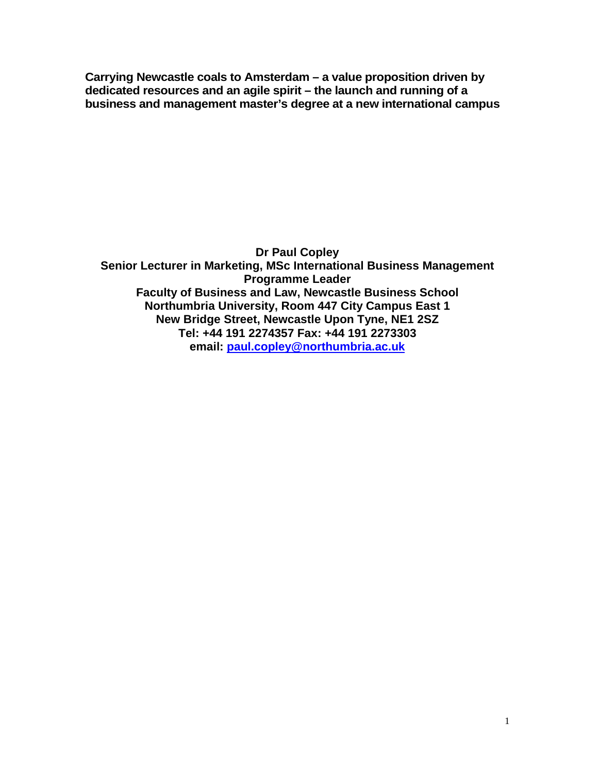**Carrying Newcastle coals to Amsterdam – a value proposition driven by dedicated resources and an agile spirit – the launch and running of a business and management master's degree at a new international campus**

**Dr Paul Copley Senior Lecturer in Marketing, MSc International Business Management Programme Leader Faculty of Business and Law, Newcastle Business School Northumbria University, Room 447 City Campus East 1 New Bridge Street, Newcastle Upon Tyne, NE1 2SZ Tel: +44 191 2274357 Fax: +44 191 2273303 email: [paul.copley@northumbria.ac.uk](mailto:paul.copley@northumbria.ac.uk)**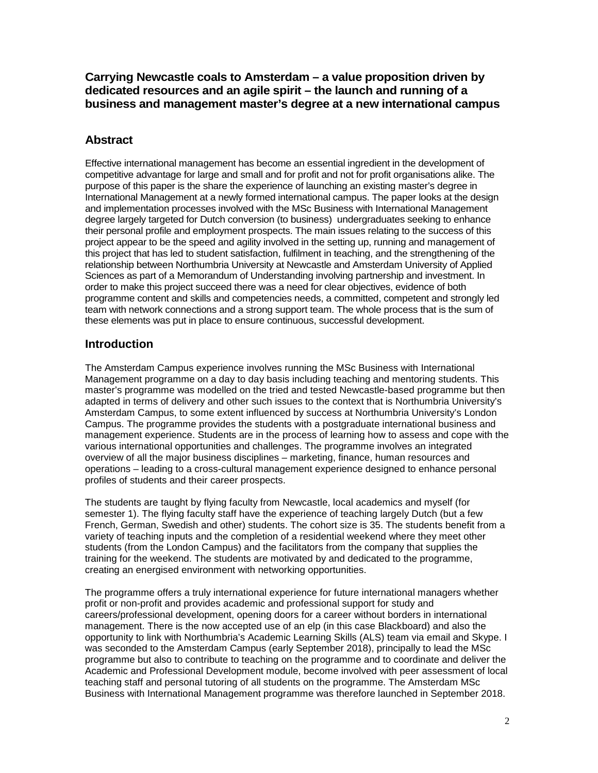**Carrying Newcastle coals to Amsterdam – a value proposition driven by dedicated resources and an agile spirit – the launch and running of a business and management master's degree at a new international campus**

### **Abstract**

Effective international management has become an essential ingredient in the development of competitive advantage for large and small and for profit and not for profit organisations alike. The purpose of this paper is the share the experience of launching an existing master's degree in International Management at a newly formed international campus. The paper looks at the design and implementation processes involved with the MSc Business with International Management degree largely targeted for Dutch conversion (to business) undergraduates seeking to enhance their personal profile and employment prospects. The main issues relating to the success of this project appear to be the speed and agility involved in the setting up, running and management of this project that has led to student satisfaction, fulfilment in teaching, and the strengthening of the relationship between Northumbria University at Newcastle and Amsterdam University of Applied Sciences as part of a Memorandum of Understanding involving partnership and investment. In order to make this project succeed there was a need for clear objectives, evidence of both programme content and skills and competencies needs, a committed, competent and strongly led team with network connections and a strong support team. The whole process that is the sum of these elements was put in place to ensure continuous, successful development.

### **Introduction**

The Amsterdam Campus experience involves running the MSc Business with International Management programme on a day to day basis including teaching and mentoring students. This master's programme was modelled on the tried and tested Newcastle-based programme but then adapted in terms of delivery and other such issues to the context that is Northumbria University's Amsterdam Campus, to some extent influenced by success at Northumbria University's London Campus. The programme provides the students with a postgraduate international business and management experience. Students are in the process of learning how to assess and cope with the various international opportunities and challenges. The programme involves an integrated overview of all the major business disciplines – marketing, finance, human resources and operations – leading to a cross-cultural management experience designed to enhance personal profiles of students and their career prospects.

The students are taught by flying faculty from Newcastle, local academics and myself (for semester 1). The flying faculty staff have the experience of teaching largely Dutch (but a few French, German, Swedish and other) students. The cohort size is 35. The students benefit from a variety of teaching inputs and the completion of a residential weekend where they meet other students (from the London Campus) and the facilitators from the company that supplies the training for the weekend. The students are motivated by and dedicated to the programme, creating an energised environment with networking opportunities.

The programme offers a truly international experience for future international managers whether profit or non-profit and provides academic and professional support for study and careers/professional development, opening doors for a career without borders in international management. There is the now accepted use of an elp (in this case Blackboard) and also the opportunity to link with Northumbria's Academic Learning Skills (ALS) team via email and Skype. I was seconded to the Amsterdam Campus (early September 2018), principally to lead the MSc programme but also to contribute to teaching on the programme and to coordinate and deliver the Academic and Professional Development module, become involved with peer assessment of local teaching staff and personal tutoring of all students on the programme. The Amsterdam MSc Business with International Management programme was therefore launched in September 2018.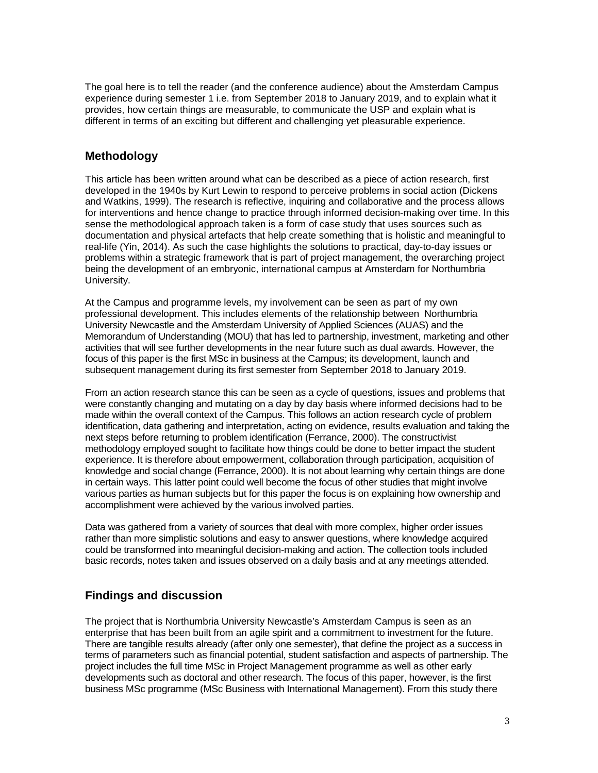The goal here is to tell the reader (and the conference audience) about the Amsterdam Campus experience during semester 1 i.e. from September 2018 to January 2019, and to explain what it provides, how certain things are measurable, to communicate the USP and explain what is different in terms of an exciting but different and challenging yet pleasurable experience.

# **Methodology**

This article has been written around what can be described as a piece of action research, first developed in the 1940s by Kurt Lewin to respond to perceive problems in social action (Dickens and Watkins, 1999). The research is reflective, inquiring and collaborative and the process allows for interventions and hence change to practice through informed decision-making over time. In this sense the methodological approach taken is a form of case study that uses sources such as documentation and physical artefacts that help create something that is holistic and meaningful to real-life (Yin, 2014). As such the case highlights the solutions to practical, day-to-day issues or problems within a strategic framework that is part of project management, the overarching project being the development of an embryonic, international campus at Amsterdam for Northumbria University.

At the Campus and programme levels, my involvement can be seen as part of my own professional development. This includes elements of the relationship between Northumbria University Newcastle and the Amsterdam University of Applied Sciences (AUAS) and the Memorandum of Understanding (MOU) that has led to partnership, investment, marketing and other activities that will see further developments in the near future such as dual awards. However, the focus of this paper is the first MSc in business at the Campus; its development, launch and subsequent management during its first semester from September 2018 to January 2019.

From an action research stance this can be seen as a cycle of questions, issues and problems that were constantly changing and mutating on a day by day basis where informed decisions had to be made within the overall context of the Campus. This follows an action research cycle of problem identification, data gathering and interpretation, acting on evidence, results evaluation and taking the next steps before returning to problem identification (Ferrance, 2000). The constructivist methodology employed sought to facilitate how things could be done to better impact the student experience. It is therefore about empowerment, collaboration through participation, acquisition of knowledge and social change (Ferrance, 2000). It is not about learning why certain things are done in certain ways. This latter point could well become the focus of other studies that might involve various parties as human subjects but for this paper the focus is on explaining how ownership and accomplishment were achieved by the various involved parties.

Data was gathered from a variety of sources that deal with more complex, higher order issues rather than more simplistic solutions and easy to answer questions, where knowledge acquired could be transformed into meaningful decision-making and action. The collection tools included basic records, notes taken and issues observed on a daily basis and at any meetings attended.

## **Findings and discussion**

The project that is Northumbria University Newcastle's Amsterdam Campus is seen as an enterprise that has been built from an agile spirit and a commitment to investment for the future. There are tangible results already (after only one semester), that define the project as a success in terms of parameters such as financial potential, student satisfaction and aspects of partnership. The project includes the full time MSc in Project Management programme as well as other early developments such as doctoral and other research. The focus of this paper, however, is the first business MSc programme (MSc Business with International Management). From this study there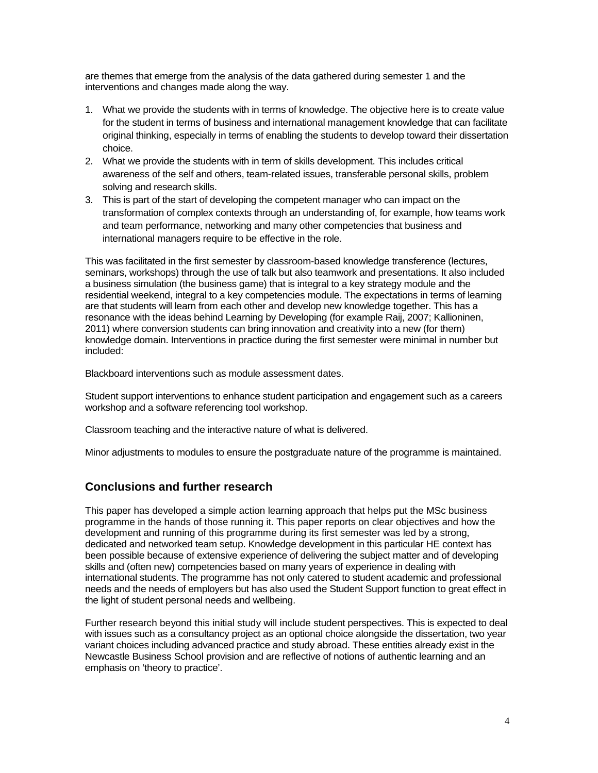are themes that emerge from the analysis of the data gathered during semester 1 and the interventions and changes made along the way.

- 1. What we provide the students with in terms of knowledge. The objective here is to create value for the student in terms of business and international management knowledge that can facilitate original thinking, especially in terms of enabling the students to develop toward their dissertation choice.
- 2. What we provide the students with in term of skills development. This includes critical awareness of the self and others, team-related issues, transferable personal skills, problem solving and research skills.
- 3. This is part of the start of developing the competent manager who can impact on the transformation of complex contexts through an understanding of, for example, how teams work and team performance, networking and many other competencies that business and international managers require to be effective in the role.

This was facilitated in the first semester by classroom-based knowledge transference (lectures, seminars, workshops) through the use of talk but also teamwork and presentations. It also included a business simulation (the business game) that is integral to a key strategy module and the residential weekend, integral to a key competencies module. The expectations in terms of learning are that students will learn from each other and develop new knowledge together. This has a resonance with the ideas behind Learning by Developing (for example Raij, 2007; Kallioninen, 2011) where conversion students can bring innovation and creativity into a new (for them) knowledge domain. Interventions in practice during the first semester were minimal in number but included:

Blackboard interventions such as module assessment dates.

Student support interventions to enhance student participation and engagement such as a careers workshop and a software referencing tool workshop.

Classroom teaching and the interactive nature of what is delivered.

Minor adjustments to modules to ensure the postgraduate nature of the programme is maintained.

#### **Conclusions and further research**

This paper has developed a simple action learning approach that helps put the MSc business programme in the hands of those running it. This paper reports on clear objectives and how the development and running of this programme during its first semester was led by a strong, dedicated and networked team setup. Knowledge development in this particular HE context has been possible because of extensive experience of delivering the subject matter and of developing skills and (often new) competencies based on many years of experience in dealing with international students. The programme has not only catered to student academic and professional needs and the needs of employers but has also used the Student Support function to great effect in the light of student personal needs and wellbeing.

Further research beyond this initial study will include student perspectives. This is expected to deal with issues such as a consultancy project as an optional choice alongside the dissertation, two year variant choices including advanced practice and study abroad. These entities already exist in the Newcastle Business School provision and are reflective of notions of authentic learning and an emphasis on 'theory to practice'.